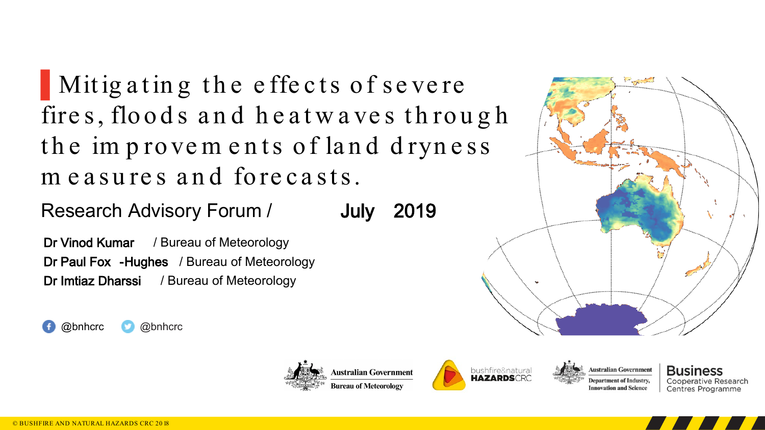▌Mit ig a t in g t h e e ffe c t s o f se ve re fires, floods and heatwaves through the improvements of land dryness me asures and forecasts.

Research Advisory Forum / July 2019

Dr Vinod Kumar / Bureau of Meteorology Dr Paul Fox -Hughes / Bureau of Meteorology Dr Imtiaz Dharssi / Bureau of Meteorology

@bnhcrc @bnhcrc







 $\sim$ 

Business Cooperative Research Centres Programme



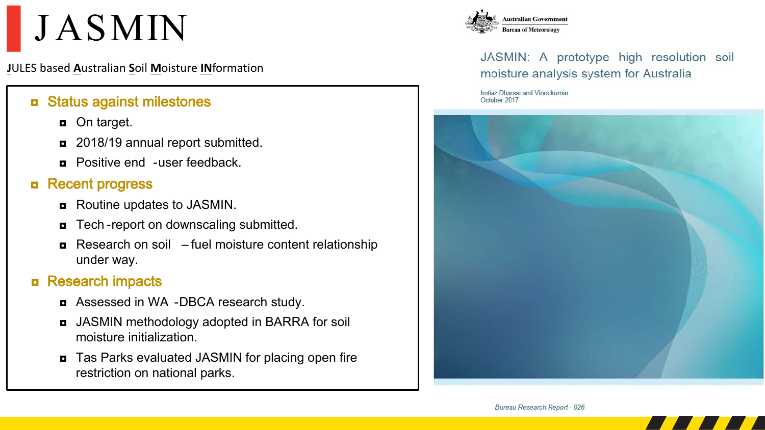# **JASMIN**

**J**ULES based **A**ustralian **S**oil **M**oisture **IN**formation

## ◘ Status against milestones

- $\Box$  On target.
- ◘ 2018/19 annual report submitted.
- ◘ Positive end -user feedback.

## ◘ Recent progress

- Routine updates to JASMIN.
- Tech-report on downscaling submitted.
- $\blacksquare$  Research on soil fuel moisture content relationship under way.

## ◘ Research impacts

- ◘ Assessed in WA -DBCA research study.
- ◘ JASMIN methodology adopted in BARRA for soil moisture initialization.
- Tas Parks evaluated JASMIN for placing open fire restriction on national parks.



## JASMIN: A prototype high resolution soil moisture analysis system for Australia

Imtiaz Dharssi and Vinodkumar October 2017



Bureau Research Report - 026

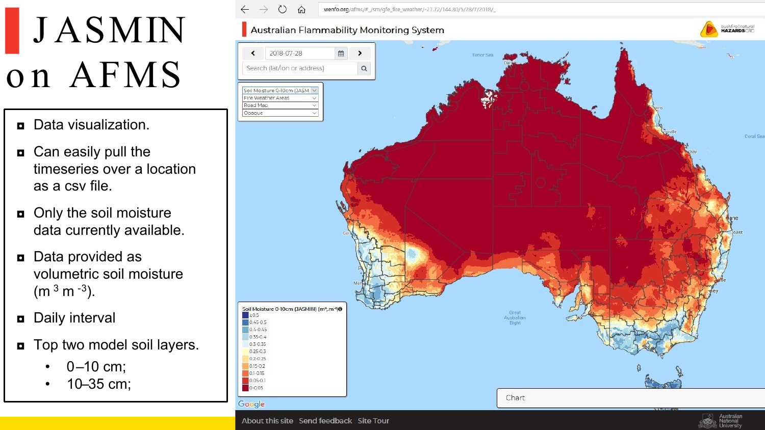# **JASMIN** on AFMS

- ◘ Data visualization.
- ◘ Can easily pull the timeseries over a location as a csv file.
- o Only the soil moisture data currently available.
- ◘ Data provided as volumetric soil moisture  $(m<sup>3</sup> m<sup>-3</sup>).$
- ◘ Daily interval
- ◘ Top two model soil layers.
	- $0-10$  cm;
	- 10–35 cm;

 $\rightarrow$  $\circ$  $\Omega$ wenfo.org/afms/#\_/sm/qfe\_fire\_weather/-27.72/144.80/5/28/7/2018/

### bushfire&natural<br>HAZARDSCRC Australian Flammability Monitoring System 2018-07-28  $\left\langle \right\rangle$ Search (lat/lon or address)  $\alpha$ Soil Moisture 0-10cm (JASM V Fire Weather Areas Road Map Opaque Coral Sea Soil Moisture 0-10cm (JASMIN) (m<sup>3</sup>, m-3)<sup>0</sup> Great  $\geq 0.5$ Australian  $0.45 - 0.5$ Biaht  $0.4 - 0.45$  $0.35 - 0.4$ 0.3-0.35  $0.25 - 0.3$  $0.2 - 0.25$  $0.15 - 0.2$  $0.1 - 0.15$ 0.05-0.1  $0 - 0.05$ Chart Google

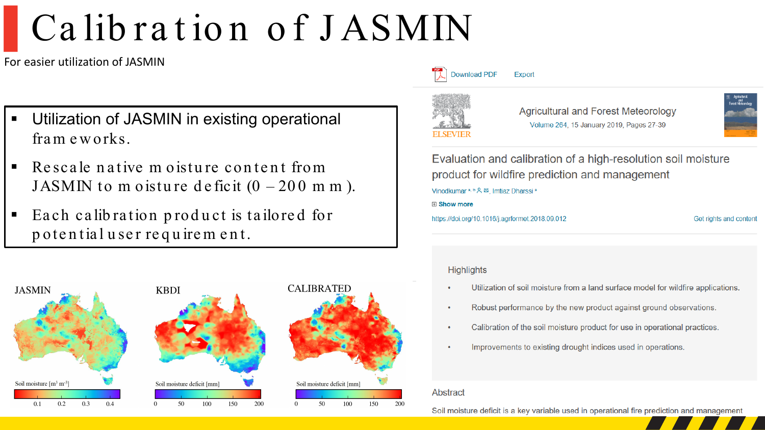# Calibration of JASMIN

For easier utilization of JASMIN

- **Utilization of JASMIN in existing operational** fra m e w orks.
- Re scale native m oisture content from JASMIN to m oisture deficit  $(0 - 200$  m m).
- Ea ch ca lib ra tion p rod u ct is ta ilore d for p ote n tia l u se r re q u ire m e n t.



### **Download PDF Export**



**Agricultural and Forest Meteorology** Volume 264, 15 January 2019, Pages 27-39



Evaluation and calibration of a high-resolution soil moisture product for wildfire prediction and management Vinodkumar<sup>a, b</sup> & El Imtiaz Dharssi<sup>a</sup>

田 Show more

https://doi.org/10.1016/j.agrformet.2018.09.012

Get rights and content

### **Highlights**

- Utilization of soil moisture from a land surface model for wildfire applications.
- Robust performance by the new product against ground observations.
- Calibration of the soil moisture product for use in operational practices.
- Improvements to existing drought indices used in operations.

### Abstract

Soil moisture deficit is a key variable used in operational fire prediction and management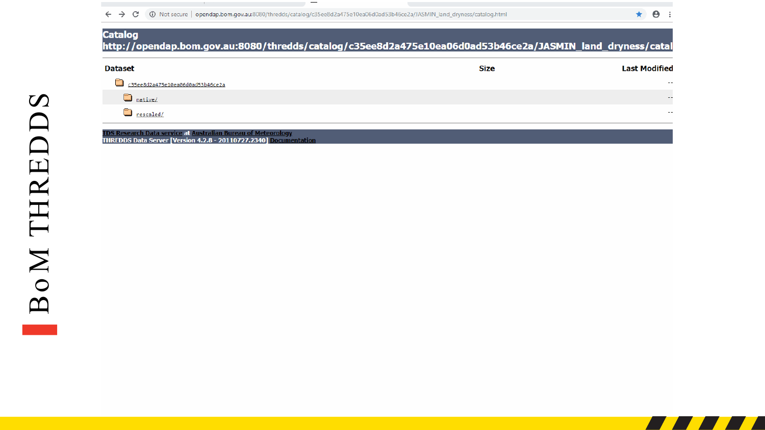← → C + O Not secure | opendap.bom.gov.au:8080/thredds/catalog/c35ee8d2a475e10ea06d0ad53b46ce2a/JASMIN\_land\_dryness/catalog.html

 $\qquad \qquad -$ 

### **Catalog** http://opendap.bom.gov.au:8080/thredds/catalog/c35ee8d2a475e10ea06d0ad53b46ce2a/JASMIN\_land\_dryness/catal

| <b>Dataset</b>                                | Size | <b>Last Modified</b> |
|-----------------------------------------------|------|----------------------|
| $\square$<br>c35ee8d2a475e10ea06d0ad53b46ce2a |      | $- -$                |
| <b>C</b> native/                              |      | $\sim$ $\sim$        |
| <u>mescaled/</u>                              |      | $\sim$ $\sim$ $\sim$ |

TDS Research Data service at Australian Bureau of Meteorology<br>THREDDS Data Server [Version 4.2.8 - 20110727.2340] Documentation

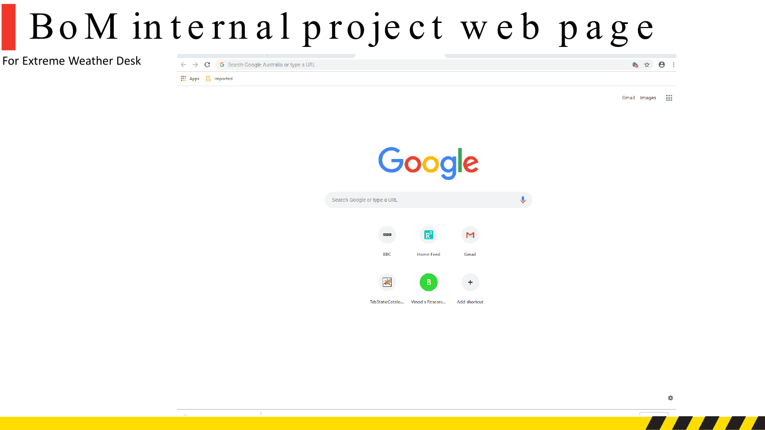## BoM internal project web page

For Extreme Weather Desk

|                                   | $\leftarrow$ $\rightarrow$ $\mathbf{C}$ G Search Google Australia or type a URL |  | 6 ☆ 8 |  |
|-----------------------------------|---------------------------------------------------------------------------------|--|-------|--|
| <b>III</b> Apps <b>A</b> Imported |                                                                                 |  |       |  |
|                                   |                                                                                 |  |       |  |

Gmail Images m

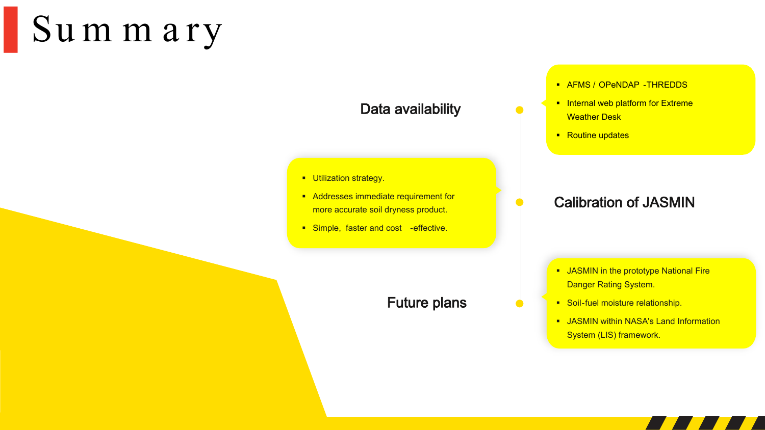# ▌Sum m ary

## Data availability

- **Utilization strategy.**
- Addresses immediate requirement for more accurate soil dryness product.
- **Simple, faster and cost -effective.**

## Future plans

### **AFMS / OPENDAP - THREDDS**

- **Internal web platform for Extreme** Weather Desk
- Routine updates

## Calibration of JASMIN

- **JASMIN** in the prototype National Fire Danger Rating System.
- **Soil-fuel moisture relationship.**
- **JASMIN within NASA's Land Information** System (LIS) framework.